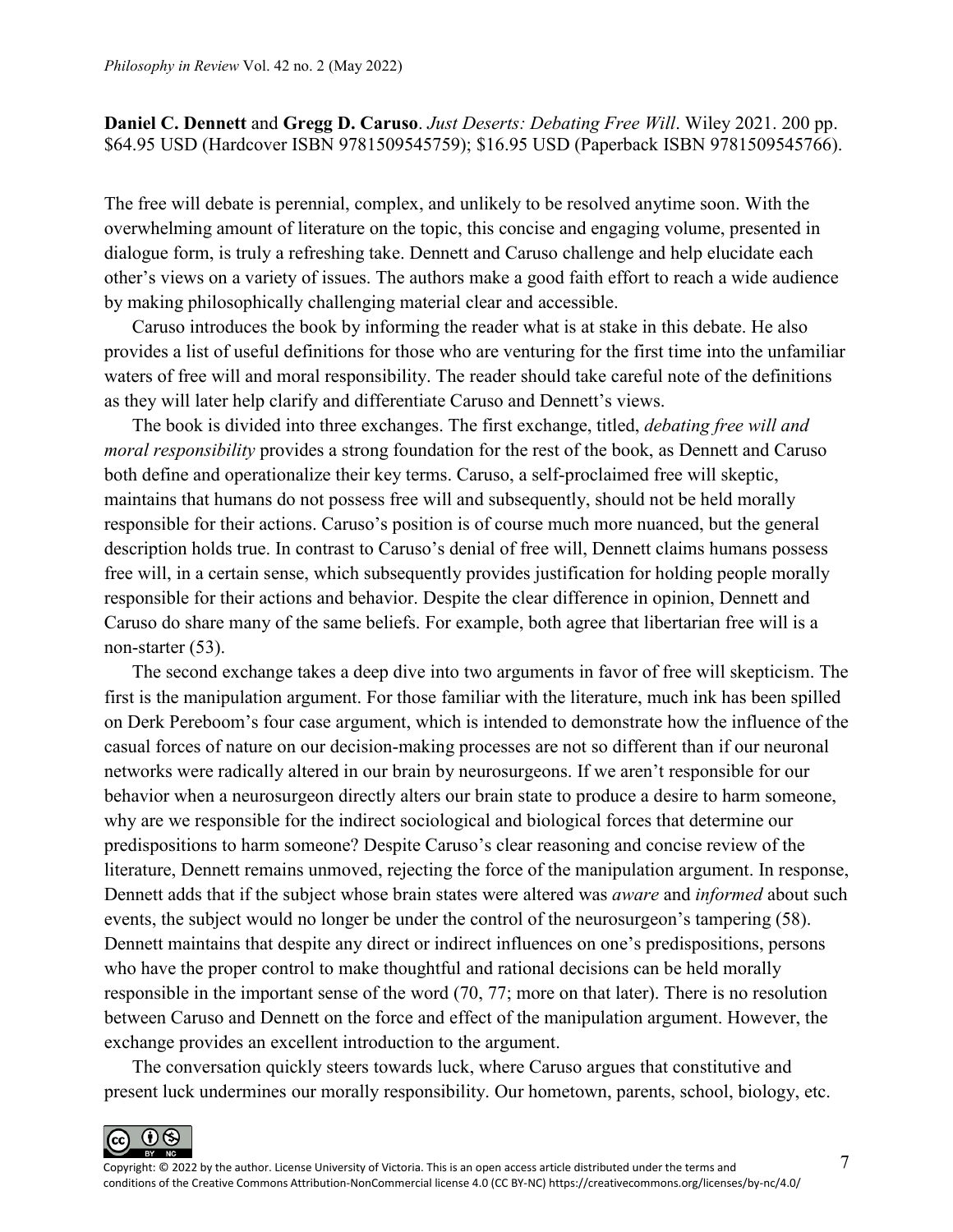## **Daniel C. Dennett** and **Gregg D. Caruso**. *Just Deserts: Debating Free Will*. Wiley 2021. 200 pp. \$64.95 USD (Hardcover ISBN 9781509545759); \$16.95 USD (Paperback ISBN 9781509545766).

The free will debate is perennial, complex, and unlikely to be resolved anytime soon. With the overwhelming amount of literature on the topic, this concise and engaging volume, presented in dialogue form, is truly a refreshing take. Dennett and Caruso challenge and help elucidate each other's views on a variety of issues. The authors make a good faith effort to reach a wide audience by making philosophically challenging material clear and accessible.

Caruso introduces the book by informing the reader what is at stake in this debate. He also provides a list of useful definitions for those who are venturing for the first time into the unfamiliar waters of free will and moral responsibility. The reader should take careful note of the definitions as they will later help clarify and differentiate Caruso and Dennett's views.

The book is divided into three exchanges. The first exchange, titled, *debating free will and moral responsibility* provides a strong foundation for the rest of the book, as Dennett and Caruso both define and operationalize their key terms. Caruso, a self-proclaimed free will skeptic, maintains that humans do not possess free will and subsequently, should not be held morally responsible for their actions. Caruso's position is of course much more nuanced, but the general description holds true. In contrast to Caruso's denial of free will, Dennett claims humans possess free will, in a certain sense, which subsequently provides justification for holding people morally responsible for their actions and behavior. Despite the clear difference in opinion, Dennett and Caruso do share many of the same beliefs. For example, both agree that libertarian free will is a non-starter (53).

The second exchange takes a deep dive into two arguments in favor of free will skepticism. The first is the manipulation argument. For those familiar with the literature, much ink has been spilled on Derk Pereboom's four case argument, which is intended to demonstrate how the influence of the casual forces of nature on our decision-making processes are not so different than if our neuronal networks were radically altered in our brain by neurosurgeons. If we aren't responsible for our behavior when a neurosurgeon directly alters our brain state to produce a desire to harm someone, why are we responsible for the indirect sociological and biological forces that determine our predispositions to harm someone? Despite Caruso's clear reasoning and concise review of the literature, Dennett remains unmoved, rejecting the force of the manipulation argument. In response, Dennett adds that if the subject whose brain states were altered was *aware* and *informed* about such events, the subject would no longer be under the control of the neurosurgeon's tampering (58). Dennett maintains that despite any direct or indirect influences on one's predispositions, persons who have the proper control to make thoughtful and rational decisions can be held morally responsible in the important sense of the word (70, 77; more on that later). There is no resolution between Caruso and Dennett on the force and effect of the manipulation argument. However, the exchange provides an excellent introduction to the argument.

The conversation quickly steers towards luck, where Caruso argues that constitutive and present luck undermines our morally responsibility. Our hometown, parents, school, biology, etc.

 $0$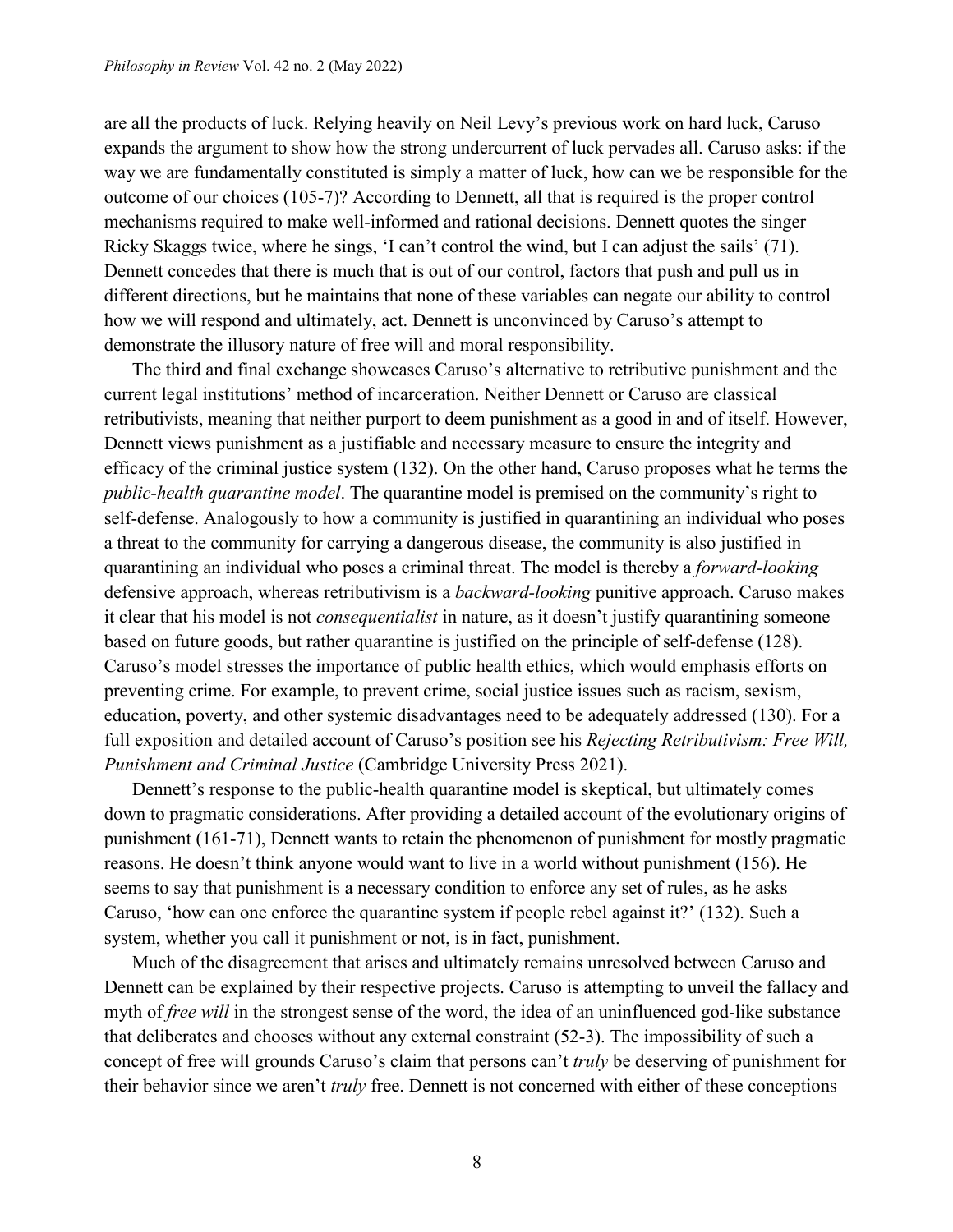are all the products of luck. Relying heavily on Neil Levy's previous work on hard luck, Caruso expands the argument to show how the strong undercurrent of luck pervades all. Caruso asks: if the way we are fundamentally constituted is simply a matter of luck, how can we be responsible for the outcome of our choices (105-7)? According to Dennett, all that is required is the proper control mechanisms required to make well-informed and rational decisions. Dennett quotes the singer Ricky Skaggs twice, where he sings, 'I can't control the wind, but I can adjust the sails' (71). Dennett concedes that there is much that is out of our control, factors that push and pull us in different directions, but he maintains that none of these variables can negate our ability to control how we will respond and ultimately, act. Dennett is unconvinced by Caruso's attempt to demonstrate the illusory nature of free will and moral responsibility.

The third and final exchange showcases Caruso's alternative to retributive punishment and the current legal institutions' method of incarceration. Neither Dennett or Caruso are classical retributivists, meaning that neither purport to deem punishment as a good in and of itself. However, Dennett views punishment as a justifiable and necessary measure to ensure the integrity and efficacy of the criminal justice system (132). On the other hand, Caruso proposes what he terms the *public-health quarantine model*. The quarantine model is premised on the community's right to self-defense. Analogously to how a community is justified in quarantining an individual who poses a threat to the community for carrying a dangerous disease, the community is also justified in quarantining an individual who poses a criminal threat. The model is thereby a *forward-looking*  defensive approach, whereas retributivism is a *backward-looking* punitive approach. Caruso makes it clear that his model is not *consequentialist* in nature, as it doesn't justify quarantining someone based on future goods, but rather quarantine is justified on the principle of self-defense (128). Caruso's model stresses the importance of public health ethics, which would emphasis efforts on preventing crime. For example, to prevent crime, social justice issues such as racism, sexism, education, poverty, and other systemic disadvantages need to be adequately addressed (130). For a full exposition and detailed account of Caruso's position see his *[Rejecting Retributivism: Free Will,](https://www.cambridge.org/core/books/rejecting-retributivism/082CC64E7849CBE18794BDE91E08B7D3)  Punishment and Criminal Justice* [\(Cambridge University Press 2021\).](https://www.cambridge.org/core/books/rejecting-retributivism/082CC64E7849CBE18794BDE91E08B7D3)

Dennett's response to the public-health quarantine model is skeptical, but ultimately comes down to pragmatic considerations. After providing a detailed account of the evolutionary origins of punishment (161-71), Dennett wants to retain the phenomenon of punishment for mostly pragmatic reasons. He doesn't think anyone would want to live in a world without punishment (156). He seems to say that punishment is a necessary condition to enforce any set of rules, as he asks Caruso, 'how can one enforce the quarantine system if people rebel against it?' (132). Such a system, whether you call it punishment or not, is in fact, punishment.

Much of the disagreement that arises and ultimately remains unresolved between Caruso and Dennett can be explained by their respective projects. Caruso is attempting to unveil the fallacy and myth of *free will* in the strongest sense of the word, the idea of an uninfluenced god-like substance that deliberates and chooses without any external constraint (52-3). The impossibility of such a concept of free will grounds Caruso's claim that persons can't *truly* be deserving of punishment for their behavior since we aren't *truly* free. Dennett is not concerned with either of these conceptions